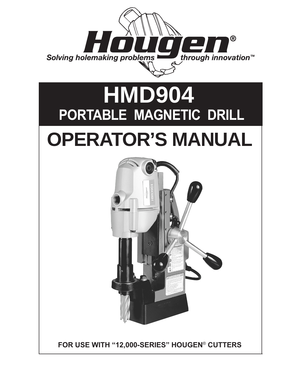

# **PORTABLE MAGNETIC DRILL OPERATOR'S MANUAL HMD904**



**FOR USE WITH "12,000-SERIES" HOUGEN**® **CUTTERS**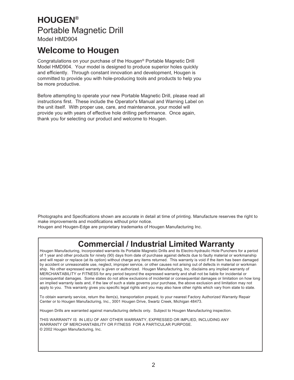# **HOUGEN®** Portable Magnetic Drill

Model HMD904

### **Welcome to Hougen**

Congratulations on your purchase of the Hougen® Portable Magnetic Drill Model HMD904. Your model is designed to produce superior holes quickly and efficiently. Through constant innovation and development, Hougen is committed to provide you with hole-producing tools and products to help you be more productive.

Before attempting to operate your new Portable Magnetic Drill, please read all instructions first. These include the Operator's Manual and Warning Label on the unit itself. With proper use, care, and maintenance, your model will provide you with years of effective hole drilling performance. Once again, thank you for selecting our product and welcome to Hougen.

Photographs and Specifications shown are accurate in detail at time of printing. Manufacture reserves the right to make improvements and modifications without prior notice.

Hougen and Hougen-Edge are proprietary trademarks of Hougen Manufacturing Inc.

### **Commercial / Industrial Limited Warranty**

 Hougen Manufacturing, Incorporated warrants its Portable Magnetic Drills and its Electro-hydraulic Hole Punchers for a period of 1 year and other products for ninety (90) days from date of purchase against defects due to faulty material or workmanship and will repair or replace (at its option) without charge any items returned. This warranty is void if the item has been damaged by accident or unreasonable use, neglect, improper service, or other causes not arising out of defects in material or workman ship. No other expressed warranty is given or authorized. Hougen Manufacturing, Inc. disclaims any implied warranty of MERCHANTABILITY or FITNESS for any period beyond the expressed warranty and shall not be liable for incidental or consequential damages. Some states do not allow exclusions of incidental or consequential damages or limitation on how long an implied warranty lasts and, if the law of such a state governs your purchase, the above exclusion and limitation may not apply to you. This warranty gives you specific legal rights and you may also have other rights which vary from state to state.

 To obtain warranty service, return the item(s), transportation prepaid, to your nearest Factory Authorized Warranty Repair Center or to Hougen Manufacturing, Inc., 3001 Hougen Drive, Swartz Creek, Michigan 48473.

Hougen Drills are warranted against manufacturing defects only. Subject to Hougen Manufacturing inspection.

 THIS WARRANTY IS IN LIEU OF ANY OTHER WARRANTY, EXPRESSED OR IMPLIED, INCLUDING ANY WARRANTY OF MERCHANTABILITY OR FITNESS FOR A PARTICULAR PURPOSE. © 2002 Hougen Manufacturing, Inc.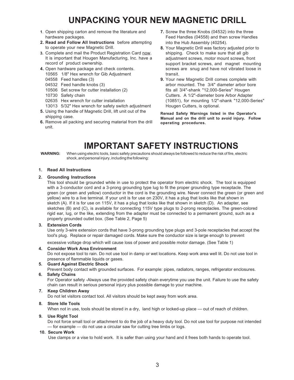# **UNPACKING YOUR NEW MAGNETIC DRILL**

- **1**. Open shipping carton and remove the literature and hardware packages.
- **2. Read and Follow All Instructions** before attempting to operate your new Magnetic Drill.
- **3.** Complete and mail the Product Registration Card now. It is important that Hougen Manufacturing, Inc. have a record of product ownership.
- **4.** Open hardware package and check contents.
- 10565 1/8" Hex wrench for Gib Adjustment
- 04558 Feed handles (3)
- 04532 Feed handle knobs (3)
- 10506 Set screw for cutter installation (2)
- 10730 Safety chain
- 02635 Hex wrench for cutter installation
- 13013 5/32" Hex wrench for safety switch adjustment
- **5.** Using the handle of Magnetic Drill, lift unit out of the shipping case.
- **6.** Remove all packing and securing material from the drill unit.
- **7.** Screw the three Knobs (04532) into the three Feed Handles (04558) and then screw Handles into the Hub Assembly (40254).
- **8.** Your Magnetic Drill was factory adjusted prior to shipping. Check to make sure that all gib adjustment screws, motor mount screws, front support bracket screws, and magnet mounting screws are snug and have not vibrated loose in transit.
- **9.** Your new Magnetic Drill comes complete with arbor mounted. The 3/4" diameter arbor bore fits all 3/4"-shank "12,000-Series" Hougen Cutters. A 1/2"-diameter bore Arbor Adapter (10851), for mounting 1/2"-shank "12,000-Series" Hougen Cutters, is optional.

**Reread Safety Warnings listed in the Operator's Manual and on the drill unit to avoid injury. Follow operating procedures.**

### **IMPORTANT SAFETY INSTRUCTIONS**

**WARNING:** When using electric tools, basic safety precautions should always be followed to reduce the risk of fire, electric shock, and personal injury, including the following:

#### **1. Read All Instructions**

#### **2. Grounding Instructions**

This tool should be grounded while in use to protect the operator from electric shock. The tool is equipped with a 3-conductor cord and a 3-prong grounding type lug to fit the proper grounding type receptacle. The green (or green and yellow) conductor in the cord is the grounding wire. Never connect the green (or green and yellow) wire to a live terminal. If your unit is for use on 230V, it has a plug that looks like that shown in sketch (A). If it is for use on 115V, it has a plug that looks like that shown in sketch (D). An adapter, see sketches (B) and (C), is available for connecting 115V type plugs to 2-prong receptacles. The green-colored rigid ear, lug, or the like, extending from the adapter must be connected to a permanent ground, such as a properly grounded outlet box. (See Table 2, Page 5)

#### **3. Extension Cords**

Use only 3-wire extension cords that have 3-prong grounding type plugs and 3-pole receptacles that accept the tool's plug. Replace or repair damaged cords. Make sure the conductor size is large enough to prevent

excessive voltage drop which will cause loss of power and possible motor damage. (See Table 1)

#### **4. Consider Work Area Environment**

Do not expose tool to rain. Do not use tool in damp or wet locations. Keep work area well lit. Do not use tool in presence of flammable liquids or gases.

#### **5. Guard Against Electric Shock**

Prevent body contact with grounded surfaces. For example: pipes, radiators, ranges, refrigerator enclosures. **6. Safety Chains**

For Operator safety -Always use the provided safety chain everytime you use the unit. Failure to use the safety chain can result in serious personal injury plus possible damage to your machine.

#### **7. Keep Children Away**

Do not let visitors contact tool. All visitors should be kept away from work area.

#### **8. Store Idle Tools**

When not in use, tools should be stored in a dry, land high or locked-up place — out of reach of children.

#### **9. Use Right Tool**

Do not force small tool or attachment to do the job of a heavy duty tool. Do not use tool for purpose not intended — for example — do not use a circular saw for cutting tree limbs or logs.

#### **10. Secure Work**

Use clamps or a vise to hold work. It is safer than using your hand and it frees both hands to operate tool.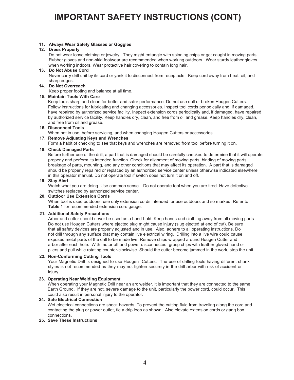# **IMPORTANT SAFETY INSTRUCTIONS (CONT)**

#### **11. Always Wear Safety Glasses or Goggles**

#### **12. Dress Properly**

 Do not wear loose clothing or jewelry. They might entangle with spinning chips or get caught in moving parts. Rubber gloves and non-skid footwear are recommended when working outdoors. Wear sturdy leather gloves when working indoors. Wear protective hair covering to contain long hair.

#### **13. Do Not Abuse Cord**

 Never carry drill unit by its cord or yank it to disconnect from receptacle. Keep cord away from heat, oil, and sharp edges.

#### **14. Do Not Overreach**

Keep proper footing and balance at all time.

#### **15. Maintain Tools With Care**

Keep tools sharp and clean for better and safer performance. Do not use dull or broken Hougen Cutters. Follow instructions for lubricating and changing accessories. Inspect tool cords periodically and, if damaged, have repaired by authorized service facility. Inspect extension cords periodically and, if damaged, have repaired by authorized service facility. Keep handles dry, clean, and free from oil and grease. Keep handles dry, clean, and free from oil and grease.

#### **16. Disconnect Tools**

When not in use, before servicing, and when changing Hougen Cutters or accessories.

#### **17. Remove Adjusting Keys and Wrenches**

Form a habit of checking to see that keys and wrenches are removed from tool before turning it on.

#### **18. Check Damaged Parts**

Before further use of the drill, a part that is damaged should be carefully checked to determine that it will operate properly and perform its intended function. Check for alignment of moving parts, binding of moving parts, breakage of parts, mounting, and any other conditions that may affect its operation. A part that is damaged should be properly repaired or replaced by an authorized service center unless otherwise indicated elsewhere in this operator manual. Do not operate tool if switch does not turn it on and off.

#### **19. Stay Alert**

Watch what you are doing. Use common sense. Do not operate tool when you are tired. Have defective switches replaced by authorized service center.

#### **20. Outdoor Use Extension Cords**

When tool is used outdoors, use only extension cords intended for use outdoors and so marked. Refer to **Table 1** for recommended extension cord gauge.

#### **21. Additional Safety Precautions**

Arbor and cutter should never be used as a hand hold. Keep hands and clothing away from all moving parts. Do not use Hougen Cutters where ejected slug might cause injury (slug ejected at end of cut). Be sure that all safety devices are properly adjusted and in use. Also, adhere to all operating instructions. Do not drill through any surface that may contain live electrical wiring. Drilling into a live wire could cause exposed metal parts of the drill to be made live. Remove chips wrapped around Hougen Cutter and arbor after each hole. With motor off and power disconnected, grasp chips with leather gloved hand or pliers and pull while rotating counter-clockwise. Should the cutter become jammed in the work, stop the unit

#### **22. Non-Conforming Cutting Tools**

Your Magnetic Drill is designed to use Hougen Cutters. The use of drilling tools having different shank styles is not recommended as they may not tighten securely in the drill arbor with risk of accident or injury.

#### **23. Operating Near Welding Equipment**

When operating your Magnetic Drill near an arc welder, it is important that they are connected to the same Earth Ground. If they are not, severe damage to the unit, particularly the power cord, could occur. This could also result in personal injury to the operator.

#### **24. Safe Electrical Connection**

Wet electrical connections are shock hazards. To prevent the cutting fluid from traveling along the cord and contacting the plug or power outlet, tie a drip loop as shown. Also elevate extension cords or gang box connections.

#### **25. Save These Instructions**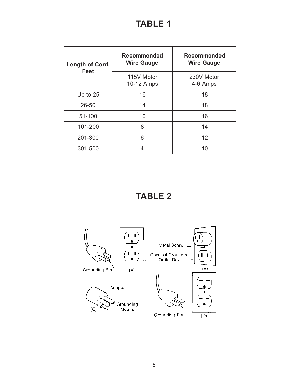# **TABLE 1**

| Length of Cord,<br><b>Feet</b> | <b>Recommended</b><br><b>Wire Gauge</b> | <b>Recommended</b><br><b>Wire Gauge</b> |  |
|--------------------------------|-----------------------------------------|-----------------------------------------|--|
|                                | 115V Motor<br>10-12 Amps                | 230V Motor<br>4-6 Amps                  |  |
| Up to $25$                     | 16                                      | 18                                      |  |
| 26-50                          | 14                                      | 18                                      |  |
| 51-100                         | 10                                      | 16                                      |  |
| 101-200                        | 8                                       | 14                                      |  |
| 201-300                        | 6                                       | 12                                      |  |
| 301-500                        | 4                                       | 10                                      |  |

**TABLE 2**

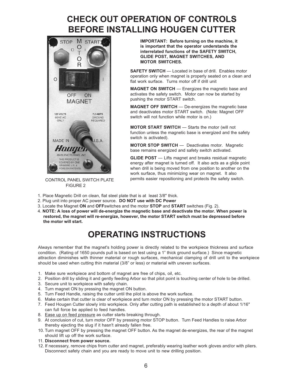## **CHECK OUT OPERATION OF CONTROLS BEFORE INSTALLING HOUGEN CUTTER**



FIGURE 2

**IMPORTANT: Before turning on the machine, it is important that the operator understands the interrelated functions of the SAFETY SWITCH, GLIDE POST, MAGNET SWITCHES, AND MOTOR SWITCHES.**

**SAFETY SWITCH** — Located in base of drill. Enables motor operation only when magnet is properly seated on a clean and flat work surface. Turns motor off if drill unit

**MAGNET ON SWITCH** — Energizes the magnetic base and activates the safety switch. Motor can now be started by pushing the motor START switch.

**MAGNET OFF SWITCH** — De-energizes the magnetic base and deactivates motor START switch. (Note: Magnet OFF switch will not function while motor is on.)

**MOTOR START SWITCH** — Starts the motor (will not function unless the magnetic base is energized and the safety switch is activated).

**MOTOR STOP SWITCH** — Deactivates motor. Magnetic base remains energized and safety switch activated.

**GLIDE POST** — Lifts magnet and breaks residual magnetic energy after magnet is turned off. It also acts as a glide point when drill is being moved from one position to another on the work surface, thus minimizing wear on magnet. It also CONTROL PANEL SWITCH PLATE permits easier repositioning and protects the safety switch.

- 1. Place Magnetic Drill on clean, flat steel plate that is at least 3/8" thick.
- 2. Plug unit into proper AC power source. **DO NOT use with DC Power**
- 3. Locate the Magnet **ON** and **OFF**switches and the motor **STOP** and **START** switches (Fig. 2).
- 4. **NOTE: A loss of power will de-energize the magnetic base and deactivate the motor. When power is restored, the magnet will re-energize, however, the motor START switch must be depressed before the motor will start.**

### **OPERATING INSTRUCTIONS**

Always remember that the magnet's holding power is directly related to the workpiece thickness and surface condition. (Rating of 1650 pounds pull is based on test using a 1" thick ground surface.) Since magnetic attraction diminishes with thinner material or rough surfaces, mechanical clamping of drill unit to the workpiece should be used when cutting thin material (3/8" or less) or material with uneven surfaces.

- 1. Make sure workpiece and bottom of magnet are free of chips, oil, etc.
- 2. Position drill by sliding it and gently feeding Arbor so that pilot point is touching center of hole to be drilled.
- 3. Secure unit to workpiece with safety chain.
- 4. Turn magnet ON by pressing the magnet ON button.
- 5. Turn Feed Handle, raising the cutter until the pilot is above the work surface.
- 6. Make certain that cutter is clear of workpiece and turn motor ON by pressing the motor START button.
- 7. Feed Hougen Cutter slowly into workpiece. Only after cutting path is established to a depth of about 1/16" can full force be applied to feed handles.
- 8. Ease up on feed pressure as cutter starts breaking through.
- 9. At conclusion of cut, turn motor OFF by pressing motor STOP button. Turn Feed Handles to raise Arbor thereby ejecting the slug if it hasn't already fallen free.
- 10. Turn magnet OFF by pressing the magnet OFF button. As the magnet de-energizes, the rear of the magnet should lift up off the work surface.
- 11. **Disconnect from power source.**
- 12. If necessary, remove chips from cutter and magnet, preferably wearing leather work gloves and/or with pliers. Disconnect safety chain and you are ready to move unit to new drilling position.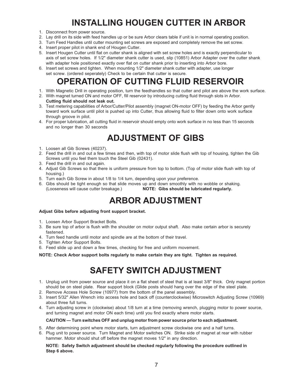# **INSTALLING HOUGEN CUTTER IN ARBOR**

- 1. Disconnect from power source.
- 2. Lay drill on its side with feed handles up or be sure Arbor clears table if unit is in normal operating position.
- 3. Turn Feed Handles until cutter mounting set screws are exposed and completely remove the set screw.
- 4. Insert proper pilot in shank end of Hougen Cutter.
- 5. Insert Hougen Cutter until flat on cutter shank is aligned with set screw holes and is exactly perpendicular to axis of set screw holes. If 1/2" diameter shank cutter is used, slip (10851) Arbor Adapter over the cutter shank with adapter hole positioned exactly over flat on cutter shank prior to inserting into Arbor bore.
- 6. Insert set screws and tighten. When mounting 1/2" diameter shank cutter with adapter, use longer set screw. (ordered seperately) Check to be certain that cutter is secure.

# **OPERATION OF CUTTING FLUID RESERVOIR**

- 1. With Magnetic Drill in operating position, turn the feedhandles so that cutter and pilot are above the work surface.
- 2. With magnet turned ON and motor OFF, fill reservoir by introducing cutting fluid through slots in Arbor. **Cutting fluid should not leak out.**
- 3. Test metering capabilities of Arbor/Cutter/Pilot assembly (magnet ON-motor OFF) by feeding the Arbor gently toward work surface until pilot is pushed up into Cutter, thus allowing fluid to filter down onto work surface through groove in pilot.
- 4. For proper lubrication, all cutting fluid in reservoir should empty onto work surface in no less than 15 seconds and no longer than 30 seconds

# **ADJUSTMENT OF GIBS**

- 1. Loosen all Gib Screws (40237).
- 2. Feed the drill in and out a few times and then, with top of motor slide flush with top of housing, tighten the Gib Screws until you feel them touch the Steel Gib (02431).
- 3. Feed the drill in and out again.
- 4. Adjust Gib Screws so that there is uniform pressure from top to bottom. (Top of motor slide flush with top of housing.)
- 5. Turn each Gib Screw in about 1/8 to 1/4 turn, depending upon your preference.
- 6. Gibs should be tight enough so that slide moves up and down smoothly with no wobble or shaking. (Looseness will cause cutter breakage.) **NOTE: Gibs should be lubricated regularly.**

# **ARBOR ADJUSTMENT**

#### **Adjust Gibs before adjusting front support bracket.**

- 1. Loosen Arbor Support Bracket Bolts.
- 3. Be sure top of arbor is flush with the shoulder on motor output shaft. Also make certain arbor is securely fastened.
- 4. Turn feed handle until motor and spindle are at the bottom of their travel.
- 5. Tighten Arbor Support Bolts.
- 6. Feed slide up and down a few times, checking for free and uniform movement.

**NOTE: Check Arbor support bolts regularly to make certain they are tight. Tighten as required.**

# **SAFETY SWITCH ADJUSTMENT**

- 1. Unplug unit from power source and place it on a flat sheet of steel that is at least 3/8" thick. Only magnet portion should be on steel plate. Rear support block (Glide posts should hang over the edge of the steel plate.
- 2. Remove Access Hole Screw (10977) from the bottom of the panel assembly.
- 3. Insert 5/32" Allen Wrench into access hole and back off (counterclockwise) Microswitch Adjusting Screw (10969) about three full turns.
- 4. Turn adjusting screw in (clockwise) about 1/8 turn at a time (removing wrench, plugging motor to power source, and turning magnet and motor ON each time) until you find exactly where motor starts.

#### **CAUTION — Turn switches OFF and unplug motor from power source prior to each adjustment.**

- 5. After determining point where motor starts, turn adjustment screw clockwise one and a half turns.
- 6. Plug unit to power source. Turn Magnet and Motor switches ON. Strike side of magnet at rear with rubber hammer. Motor should shut off before the magnet moves 1/2" in any direction.

#### **NOTE: Safety Switch adjustment should be checked regularly following the procedure outlined in Step 6 above.**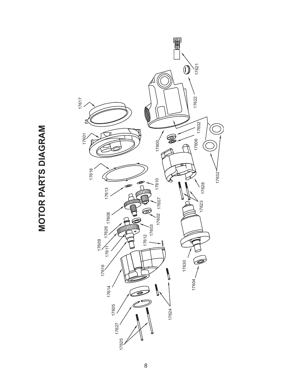

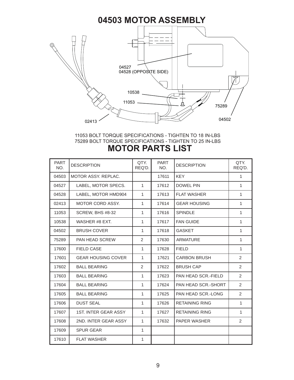

#### 11053 BOLT TORQUE SPECIFICATIONS - TIGHTEN TO 18 IN-LBS 75289 BOLT TORQUE SPECIFICATIONS - TIGHTEN TO 25 IN-LBS **MOTOR PARTS LIST**

| <b>PART</b><br>NO. | <b>DESCRIPTION</b>          | QTY.<br>REQ'D. | <b>PART</b><br>NO. | <b>DESCRIPTION</b>    | QTY.<br>REQ'D. |
|--------------------|-----------------------------|----------------|--------------------|-----------------------|----------------|
| 04503              | MOTOR ASSY, REPLAC.         |                | 17611              | <b>KEY</b>            | $\mathbf{1}$   |
| 04527              | LABEL, MOTOR SPECS.         | $\mathbf{1}$   | 17612              | <b>DOWEL PIN</b>      | 1              |
| 04528              | LABEL, MOTOR HMD904         | $\mathbf{1}$   | 17613              | <b>FLAT WASHER</b>    | 1              |
| 02413              | <b>MOTOR CORD ASSY.</b>     | $\mathbf{1}$   | 17614              | <b>GEAR HOUSING</b>   | $\mathbf{1}$   |
| 11053              | <b>SCREW, BHS #8-32</b>     | $\mathbf{1}$   | 17616              | <b>SPINDLE</b>        | 1              |
| 10538              | WASHER #8 EXT.              | $\mathbf{1}$   | 17617              | <b>FAN GUIDE</b>      | 1              |
| 04502              | <b>BRUSH COVER</b>          | $\mathbf{1}$   | 17618              | <b>GASKET</b>         | 1              |
| 75289              | PAN HEAD SCREW              | 2              | 17630              | <b>ARMATURE</b>       | 1              |
| 17600              | <b>FIELD CASE</b>           | $\mathbf{1}$   | 17628              | <b>FIELD</b>          | 1              |
| 17601              | <b>GEAR HOUSING COVER</b>   | $\mathbf{1}$   | 17621              | <b>CARBON BRUSH</b>   | $\overline{2}$ |
| 17602              | <b>BALL BEARING</b>         | 2              | 17622              | <b>BRUSH CAP</b>      | $\overline{2}$ |
| 17603              | <b>BALL BEARING</b>         | $\mathbf{1}$   | 17623              | PAN HEAD SCR.-FIELD   | 2              |
| 17604              | <b>BALL BEARING</b>         | $\mathbf{1}$   | 17624              | PAN HEAD SCR.-SHORT   | 2              |
| 17605              | <b>BALL BEARING</b>         | $\mathbf{1}$   | 17625              | PAN HEAD SCR.-LONG    | $\overline{2}$ |
| 17606              | <b>DUST SEAL</b>            | $\mathbf{1}$   | 17626              | <b>RETAINING RING</b> | $\mathbf{1}$   |
| 17607              | <b>1ST. INTER GEAR ASSY</b> | $\mathbf{1}$   | 17627              | <b>RETAINING RING</b> | 1              |
| 17608              | 2ND. INTER GEAR ASSY        | $\mathbf{1}$   | 17632              | <b>PAPER WASHER</b>   | $\overline{2}$ |
| 17609              | <b>SPUR GEAR</b>            | $\mathbf{1}$   |                    |                       |                |
| 17610              | <b>FLAT WASHER</b>          | 1              |                    |                       |                |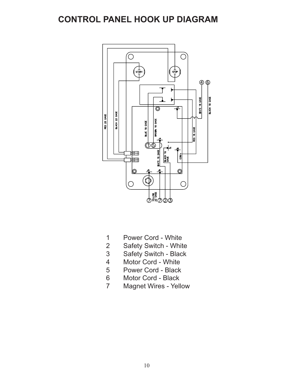### **CONTROL PANEL HOOK UP DIAGRAM**



- 1 Power Cord White
- 2 Safety Switch White
- 3 Safety Switch Black
- 4 Motor Cord White
- 5 Power Cord Black<br>6 Motor Cord Black
- Motor Cord Black
- 7 Magnet Wires Yellow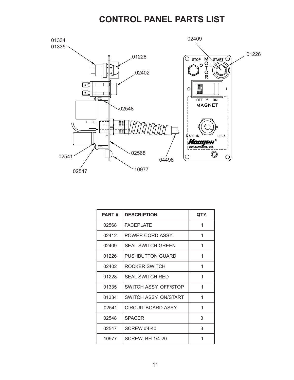### **CONTROL PANEL PARTS LIST**



| <b>PART#</b> | <b>DESCRIPTION</b>       | QTY. |
|--------------|--------------------------|------|
| 02568        | <b>FACEPLATE</b>         | 1    |
| 02412        | POWER CORD ASSY.         | 1    |
| 02409        | <b>SEAL SWITCH GREEN</b> | 1    |
| 01226        | <b>PUSHBUTTON GUARD</b>  | 1    |
| 02402        | ROCKER SWITCH            | 1    |
| 01228        | <b>SEAL SWITCH RED</b>   | 1    |
| 01335        | SWITCH ASSY, OFF/STOP    | 1    |
| 01334        | SWITCH ASSY. ON/START    | 1    |
| 02541        | CIRCUIT BOARD ASSY.      | 1    |
| 02548        | <b>SPACER</b>            | 3    |
| 02547        | <b>SCREW #4-40</b>       | 3    |
| 10977        | <b>SCREW, BH 1/4-20</b>  | 1    |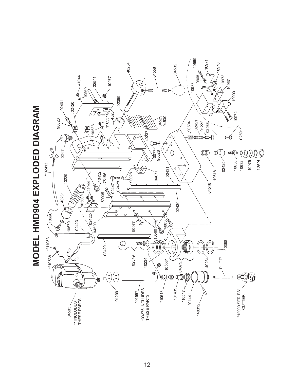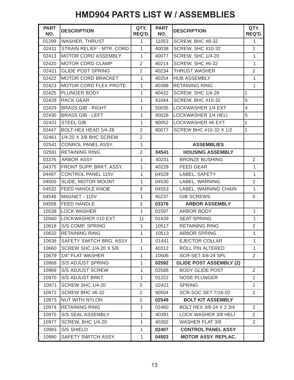### **HMD904 PARTS LIST W / ASSEMBLIES**

| <b>PART</b><br>NO. | <b>DESCRIPTION</b>             | QTY.<br>REQ'D. | <b>PART</b><br>NO. | <b>DESCRIPTION</b>             | QTY.<br>REQ'D. |
|--------------------|--------------------------------|----------------|--------------------|--------------------------------|----------------|
| 01299              | <b>WASHER, THRUST</b>          | $\mathbf{1}$   | 11053              | SCREW, BHC #8-32               | 1              |
| 02411              | STRAIN RELIEF - MTR. CORD      | 1              | 40038              | SCREW, SHC #10-32              | $\overline{2}$ |
| 02413              | MOTOR CORD ASSEMBLY            | $\mathbf{1}$   | 40077              | SCREW, SHC 1/4-20              | 1              |
| 02420              | <b>MOTOR CORD CLAMP</b>        | $\overline{2}$ | 40214              | SCREW, SHC #6-32               | $\mathbf{1}$   |
| 02421              | <b>GLIDE POST SPRING</b>       | $\overline{2}$ | 40234              | <b>THRUST WASHER</b>           | $\overline{2}$ |
| 02422              | <b>MOTOR CORD BRACKET</b>      | 1              | 40254              | <b>HUB ASSEMBLY</b>            | 1              |
| 02423              | MOTOR CORD FLEX PROTE.         | $\mathbf{1}$   | 40398              | <b>RETAINING RING</b>          | $\mathbf{1}$   |
| 02425              | <b>PLUNGER BODY</b>            | 1              | 40432              | SCREW, SHC 1/4-28              | 1              |
| 02428              | <b>RACK GEAR</b>               | 1              | 41044              | SCREW, BHC #10-32              | 6              |
| 02429              | <b>BRASS GIB - RIGHT</b>       | 1              | 50035              | LOCKWASHER 1/4 EXT             | $\overline{4}$ |
| 02430              | <b>BRASS GIB - LEFT</b>        | 1              | 90028              | LOCKWASHER 1/4 HELI            | 5              |
| 02431              | <b>STEEL GIB</b>               | 1              |                    | 90052  LOCKWASHER #6 EXT.      | 1              |
| 02447              | BOLT-HEX HEAD 1/4-28           | $\overline{2}$ | 90077              | SCREW BHC #10-32 X 1/2         | 1              |
| 02461              | 1/4-20 X 3/8 BHC SCREW         | $\overline{2}$ |                    |                                |                |
| 02541              | CONROL PANEL ASSY.             | 1              |                    | <b>ASSEMBLIES</b>              |                |
| 02591              | <b>RETAINING RING</b>          | $\overline{2}$ | 04541              | <b>HOUSING ASSEMBLY</b>        |                |
| 03376              | <b>ARBOR ASSY</b>              | $\mathbf{1}$   | 40231              | <b>BRONZE BUSHING</b>          | $\overline{2}$ |
| 04375              | <b>FRONT SUPP. BRKT. ASSY.</b> | 1              | 40229              | <b>FEED GEAR</b>               | $\mathbf{1}$   |
| 04497              | <b>CONTROL PANEL 115V</b>      | $\mathbf{1}$   | 04529              | LABEL, SAFETY                  | 1              |
| 04500              | SLIDE, MOTOR MOUNT             | 1              | 04530              | LABEL, WARNING                 | $\overline{2}$ |
| 04532              | <b>FEED HANDLE KNOB</b>        | 3              | 04553              | LABEL, WARNING CHAIN           | $\mathbf{1}$   |
| 04548              | MAGNET - 115V                  | 1              | 40237              | <b>GIB SCREWS</b>              | 5              |
| 04558              | <b>FEED HANDLE</b>             | 3              | 03376              | <b>ARBOR ASSEMBLY</b>          |                |
|                    | 10538   LOCK WASHER            | 1              | 01597              | ARBOR BODY                     | $\mathbf{1}$   |
|                    | 10560   LOCKWASHER #10 EXT.    | 11             | 01439              | <b>SEAT-SPRING</b>             | $\mathbf{1}$   |
| 10618              | <b>S/S COMP. SPRING</b>        | 1              | 10517              | <b>RETAINING RING</b>          | $\overline{2}$ |
| 10632              | <b>RETAINING RING</b>          | 1              | 10513              | <b>ARBOR SPRING</b>            | 1              |
| 10638              | <b>SAFETY SWITCH BRG. ASSY</b> | 1              | 01441              | <b>EJECTOR COLLAR</b>          | 1              |
| 10660              | SCREW SHC 1/4-20 X 5/8         | 1              | 40312              | ROLL PIN ALTERED               | 1              |
| 10679              | 1/4" FLAT WASHER               | 1              | 10506              | SCR-SET 3/8-24 SPL             | $\overline{2}$ |
| 10968              | <b>S/S ADJUST SPRING</b>       | 1              | 02592              | <b>GLIDE POST ASSEMBLY (2)</b> |                |
| 10969              | S/S ADJUST SCREW               | $\mathbf{1}$   | 02588              | <b>BODY GLIDE POST</b>         | $\overline{2}$ |
| 10970              | S/S ADJUST BRKT.               | 1              | 01222              | NOSE-PLUNGER                   | $\overline{2}$ |
| 10971              | SCREW SHC 1/4-20               | $\overline{2}$ | 02421              | <b>SPRING</b>                  | $\overline{2}$ |
| 10972              | SCREW BHC #6-32                | $\overline{2}$ | 90504              | SCR-SOC SET 7/16-20            | $\overline{2}$ |
| 10973              | NUT WITH NYLON                 | $\overline{2}$ | 02549              | <b>BOLT KIT ASSEMBLY</b>       |                |
| 10974              | <b>RETAINING RING</b>          | 1              | 02460              | BOLT HEX 3/8-24 X 2 3/4        | 2              |
| 10975              | S/S SEAL ASSEMBLY              | 1              | 40391              | LOCK WASHER 3/8 HELI           | $\overline{2}$ |
| 10977              | <b>SCREW, BHC 1/4-20</b>       | 1              | 40392              | <b>WASHER FLAT 3/8</b>         | $\overline{2}$ |
| 10983              | S/S SHIELD                     | 1              | 02407              | <b>CONTROL PANEL ASSY</b>      |                |
| 10990              | SAFETY SWITCH ASSY.            | $\mathbf{1}$   | 04503              | <b>MOTOR ASSY. REPLAC.</b>     |                |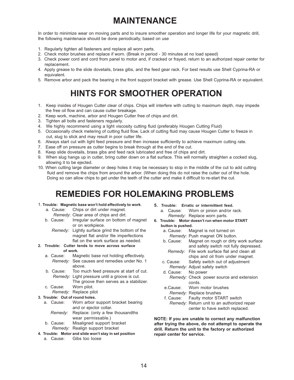# **MAINTENANCE**

In order to minimize wear on moving parts and to insure smoother operation and longer life for your magnetic drill, the following maintenace should be done periodically, based on use

- 1. Regularly tighten all fasteners and replace all worn parts.
- 2. Check motor brushes and replace if worn. (Break in period 30 minutes at no load speed)
- 3. Check power cord and cord from panel to motor and, if cracked or frayed, return to an authorized repair center for replacement.
- 4. Apply grease to the slide dovetails, brass gibs, and the feed gear rack. For best results use Shell Cyprina-RA or equivalent.
- 5. Remove arbor and pack the bearing in the front support bracket with grease. Use Shell Cyprina-RA or equivalent.

# **HINTS FOR SMOOTHER OPERATION**

- 1. Keep insides of Hougen Cutter clear of chips. Chips will interfere with cutting to maximum depth, may impede the free oil flow and can cause cutter breakage.
- 2. Keep work, machine, arbor and Hougen Cutter free of chips and dirt.
- 3. Tighten all bolts and fasteners regularly.
- 4. We highly recommend using a light viscosity cutting fluid (preferably Hougen Cutting Fluid)
- 5. Occasionally check metering of cutting fluid flow. Lack of cutting fluid may cause Hougen Cutter to freeze in cut, slug to stick and may result in poor cutter life.
- 6. Always start cut with light feed pressure and then increase sufficiently to achieve maximum cutting rate.
- 7. Ease off on pressure as cutter begins to break through at the end of the cut.
- 8. Keep slide dovetails, brass gibs and feed rack lubricated and free of chips and dirt.
- 9. When slug hangs up in cutter, bring cutter down on a flat surface. This will normally straighten a cocked slug, allowing it to be ejected.
- 10. When cutting large diameter or deep holes it may be necessary to stop in the middle of the cut to add cutting fluid and remove the chips from around the arbor. (When doing this do not raise the cutter out of the hole. Doing so can allow chips to get under the teeth of the cutter and make it difficult to re-start the cut.

### **REMEDIES FOR HOLEMAKING PROBLEMS**

#### 1. **Trouble: Magnetic base won't hold effectively to work**.

- a. Cause: Chips or dirt under magnet.
	- *Remedy*: Clear area of chips and dirt.
- b. Cause: Irregular surface on bottom of magnet or on workpiece.
	- *Remedy:* Lightly surface grind the bottom of the magnet flat and/or file imperfections flat on the work surface as needed.
- **2. Trouble: Cutter tends to move across surface of work.**
	- a. Cause: Magnetic base not holding effectively. *Remedy:* See causes and remedies under No. 1 above.
	- b. Cause: Too much feed pressure at start of cut. *Remedy:* Light pressure until a groove is cut.
	- The groove then serves as a stabilizer. c. Cause: Worn pilot.
	- *Remedy:* Replace pilot

#### **3. Trouble: Out of round holes.**

- a. Cause: Worn arbor support bracket bearing and or ejector collar.
	- *Remedy:* Replace: (only a few thousandths wear permissable.)
- b. Cause: Misaligned support bracket *Remedy:* Realign support bracket
- **4. Trouble: Motor and slide won't stay in set position**
	- a. Cause: Gibs too loose
- **5. Trouble: Erratic or intermittent feed.**
- a. Cause: Worn or pinion and/or rack. *Remedy:* Replace worn parts.
- **6. Trouble: Motor doesn't run when motor START button is pushed.**
	- a. Cause: Magnet is not turned on *Remedy*: Push magnet ON button.
	- b. Cause: Magnet on rough or dirty work surface and safety switch not fully depressed. *Remedy:* File work surface flat and clean all
	- chips and oil from under magnet. c. Cause: Safety switch out of adjustment
	- *Remedy:* Adjust safety switch
	- d. Cause: No power *Remedy:* Check power source and extension cords.
	- e.Cause: Worn motor brushes *Remedy:* Replace brushes
	- f. Cause: Faulty motor START switch
		- *Remedy:* Return unit to an authorized repair center to have switch replaced.

**NOTE: If you are unable to correct any malfunction after trying the above, do not attempt to operate the drill. Return the unit to the factory or authorized repair center for service.**